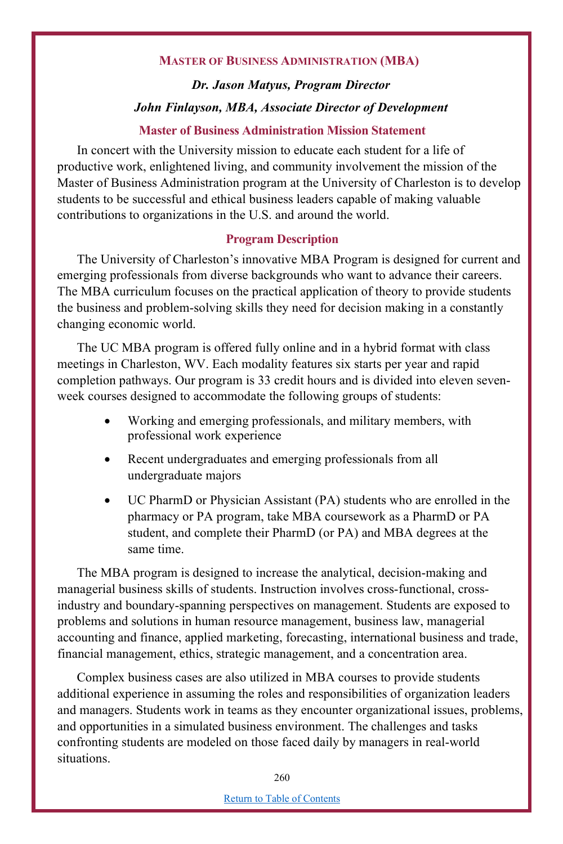#### **MASTER OF BUSINESS ADMINISTRATION (MBA)**

# *Dr. Jason Matyus, Program Director John Finlayson, MBA, Associate Director of Development*

#### **Master of Business Administration Mission Statement**

In concert with the University mission to educate each student for a life of productive work, enlightened living, and community involvement the mission of the Master of Business Administration program at the University of Charleston is to develop students to be successful and ethical business leaders capable of making valuable contributions to organizations in the U.S. and around the world.

#### **Program Description**

The University of Charleston's innovative MBA Program is designed for current and emerging professionals from diverse backgrounds who want to advance their careers. The MBA curriculum focuses on the practical application of theory to provide students the business and problem-solving skills they need for decision making in a constantly changing economic world.

The UC MBA program is offered fully online and in a hybrid format with class meetings in Charleston, WV. Each modality features six starts per year and rapid completion pathways. Our program is 33 credit hours and is divided into eleven sevenweek courses designed to accommodate the following groups of students:

- Working and emerging professionals, and military members, with professional work experience
- Recent undergraduates and emerging professionals from all undergraduate majors
- UC PharmD or Physician Assistant (PA) students who are enrolled in the pharmacy or PA program, take MBA coursework as a PharmD or PA student, and complete their PharmD (or PA) and MBA degrees at the same time.

The MBA program is designed to increase the analytical, decision-making and managerial business skills of students. Instruction involves cross-functional, crossindustry and boundary-spanning perspectives on management. Students are exposed to problems and solutions in human resource management, business law, managerial accounting and finance, applied marketing, forecasting, international business and trade, financial management, ethics, strategic management, and a concentration area.

Complex business cases are also utilized in MBA courses to provide students additional experience in assuming the roles and responsibilities of organization leaders and managers. Students work in teams as they encounter organizational issues, problems, and opportunities in a simulated business environment. The challenges and tasks confronting students are modeled on those faced daily by managers in real-world situations.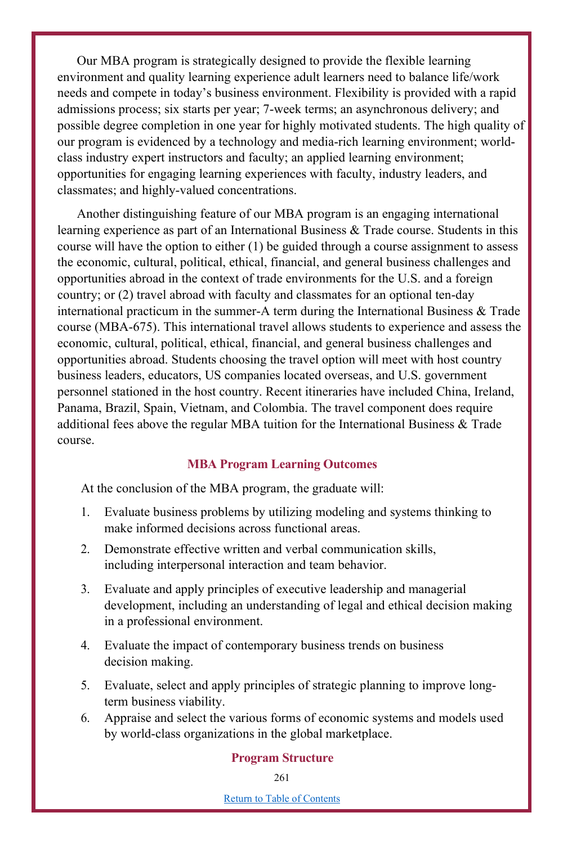Our MBA program is strategically designed to provide the flexible learning environment and quality learning experience adult learners need to balance life/work needs and compete in today's business environment. Flexibility is provided with a rapid admissions process; six starts per year; 7-week terms; an asynchronous delivery; and possible degree completion in one year for highly motivated students. The high quality of our program is evidenced by a technology and media-rich learning environment; worldclass industry expert instructors and faculty; an applied learning environment; opportunities for engaging learning experiences with faculty, industry leaders, and classmates; and highly-valued concentrations.

Another distinguishing feature of our MBA program is an engaging international learning experience as part of an International Business & Trade course. Students in this course will have the option to either (1) be guided through a course assignment to assess the economic, cultural, political, ethical, financial, and general business challenges and opportunities abroad in the context of trade environments for the U.S. and a foreign country; or (2) travel abroad with faculty and classmates for an optional ten-day international practicum in the summer-A term during the International Business  $\&$  Trade course (MBA-675). This international travel allows students to experience and assess the economic, cultural, political, ethical, financial, and general business challenges and opportunities abroad. Students choosing the travel option will meet with host country business leaders, educators, US companies located overseas, and U.S. government personnel stationed in the host country. Recent itineraries have included China, Ireland, Panama, Brazil, Spain, Vietnam, and Colombia. The travel component does require additional fees above the regular MBA tuition for the International Business & Trade course.

## **MBA Program Learning Outcomes**

At the conclusion of the MBA program, the graduate will:

- 1. Evaluate business problems by utilizing modeling and systems thinking to make informed decisions across functional areas.
- 2. Demonstrate effective written and verbal communication skills, including interpersonal interaction and team behavior.
- 3. Evaluate and apply principles of executive leadership and managerial development, including an understanding of legal and ethical decision making in a professional environment.
- 4. Evaluate the impact of contemporary business trends on business decision making.
- 5. Evaluate, select and apply principles of strategic planning to improve longterm business viability.
- 6. Appraise and select the various forms of economic systems and models used by world-class organizations in the global marketplace.

#### **Program Structure**

Return to Table of Contents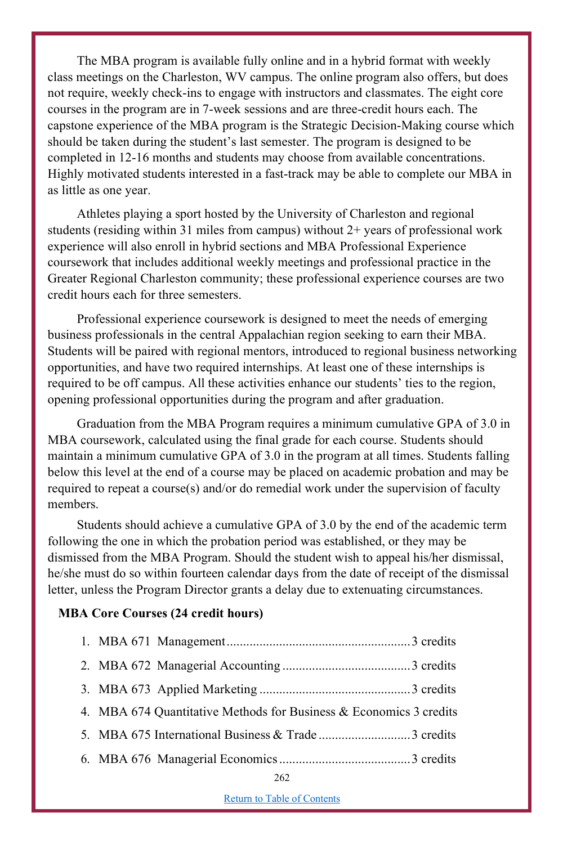The MBA program is available fully online and in a hybrid format with weekly class meetings on the Charleston, WV campus. The online program also offers, but does not require, weekly check-ins to engage with instructors and classmates. The eight core courses in the program are in 7-week sessions and are three-credit hours each. The capstone experience of the MBA program is the Strategic Decision-Making course which should be taken during the student's last semester. The program is designed to be completed in 12-16 months and students may choose from available concentrations. Highly motivated students interested in a fast-track may be able to complete our MBA in as little as one year.

Athletes playing a sport hosted by the University of Charleston and regional students (residing within 31 miles from campus) without 2+ years of professional work experience will also enroll in hybrid sections and MBA Professional Experience coursework that includes additional weekly meetings and professional practice in the Greater Regional Charleston community; these professional experience courses are two credit hours each for three semesters.

Professional experience coursework is designed to meet the needs of emerging business professionals in the central Appalachian region seeking to earn their MBA. Students will be paired with regional mentors, introduced to regional business networking opportunities, and have two required internships. At least one of these internships is required to be off campus. All these activities enhance our students' ties to the region, opening professional opportunities during the program and after graduation.

Graduation from the MBA Program requires a minimum cumulative GPA of 3.0 in MBA coursework, calculated using the final grade for each course. Students should maintain a minimum cumulative GPA of 3.0 in the program at all times. Students falling below this level at the end of a course may be placed on academic probation and may be required to repeat a course(s) and/or do remedial work under the supervision of faculty members.

Students should achieve a cumulative GPA of 3.0 by the end of the academic term following the one in which the probation period was established, or they may be dismissed from the MBA Program. Should the student wish to appeal his/her dismissal, he/she must do so within fourteen calendar days from the date of receipt of the dismissal letter, unless the Program Director grants a delay due to extenuating circumstances.

#### **MBA Core Courses (24 credit hours)**

| 4. MBA 674 Quantitative Methods for Business & Economics 3 credits |  |
|--------------------------------------------------------------------|--|
| 5. MBA 675 International Business & Trade 3 credits                |  |
|                                                                    |  |

Return to Table of Contents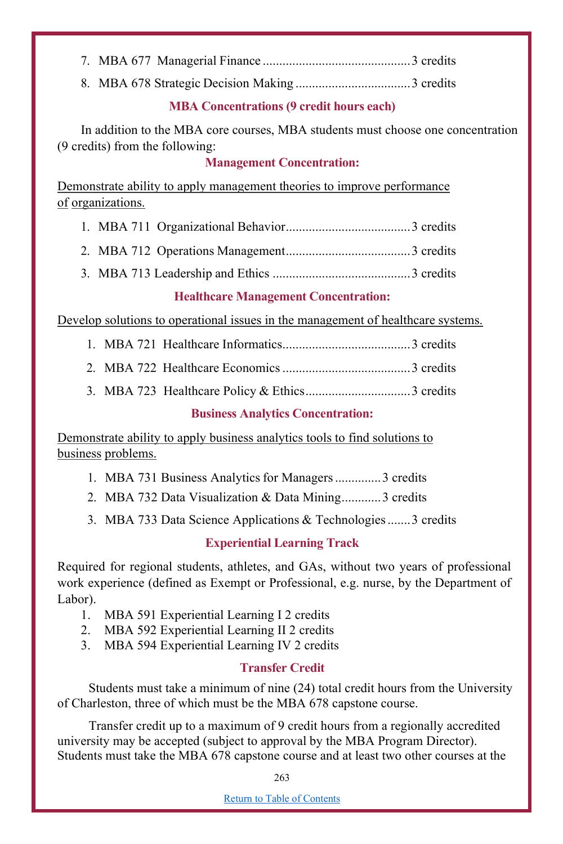- 7. MBA 677 Managerial Finance .............................................3 credits
- 8. MBA 678 Strategic Decision Making ...................................3 credits

## **MBA Concentrations (9 credit hours each)**

In addition to the MBA core courses, MBA students must choose one concentration (9 credits) from the following:

## **Management Concentration:**

Demonstrate ability to apply management theories to improve performance of organizations.

- 1. MBA 711 Organizational Behavior......................................3 credits
- 2. MBA 712 Operations Management......................................3 credits
- 3. MBA 713 Leadership and Ethics ..........................................3 credits

# **Healthcare Management Concentration:**

Develop solutions to operational issues in the management of healthcare systems.

- 1. MBA 721 Healthcare Informatics.......................................3 credits
- 2. MBA 722 Healthcare Economics.......................................3 credits
- 3. MBA 723 Healthcare Policy & Ethics................................3 credits

## **Business Analytics Concentration:**

Demonstrate ability to apply business analytics tools to find solutions to business problems.

- 1. MBA 731 Business Analytics for Managers..............3 credits
- 2. MBA 732 Data Visualization & Data Mining............3 credits
- 3. MBA 733 Data Science Applications & Technologies.......3 credits

# **Experiential Learning Track**

Required for regional students, athletes, and GAs, without two years of professional work experience (defined as Exempt or Professional, e.g. nurse, by the Department of Labor).

- 1. MBA 591 Experiential Learning I 2 credits
- 2. MBA 592 Experiential Learning II 2 credits
- 3. MBA 594 Experiential Learning IV 2 credits

# **Transfer Credit**

Students must take a minimum of nine (24) total credit hours from the University of Charleston, three of which must be the MBA 678 capstone course.

Transfer credit up to a maximum of 9 credit hours from a regionally accredited university may be accepted (subject to approval by the MBA Program Director). Students must take the MBA 678 capstone course and at least two other courses at the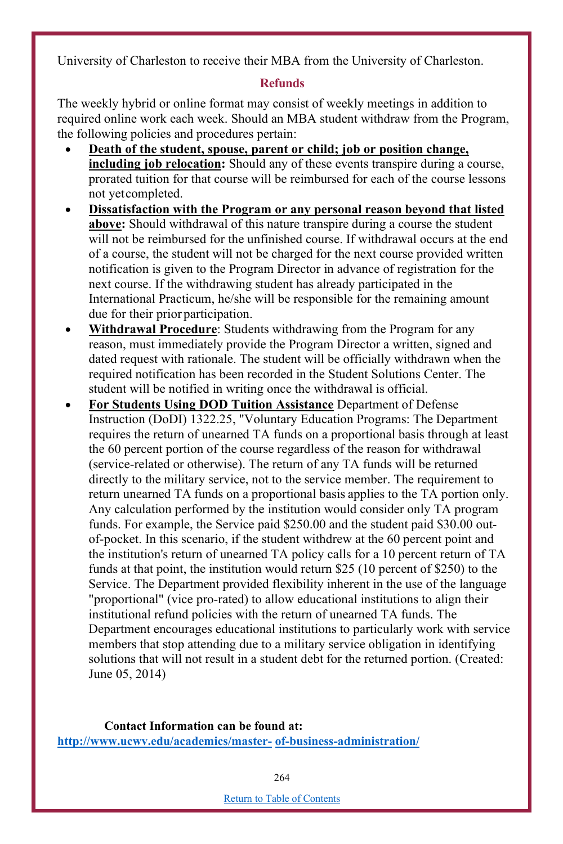University of Charleston to receive their MBA from the University of Charleston.

## **Refunds**

The weekly hybrid or online format may consist of weekly meetings in addition to required online work each week. Should an MBA student withdraw from the Program, the following policies and procedures pertain:

- **Death of the student, spouse, parent or child; job or position change, including job relocation:** Should any of these events transpire during a course, prorated tuition for that course will be reimbursed for each of the course lessons not yetcompleted.
- **Dissatisfaction with the Program or any personal reason beyond that listed above:** Should withdrawal of this nature transpire during a course the student will not be reimbursed for the unfinished course. If withdrawal occurs at the end of a course, the student will not be charged for the next course provided written notification is given to the Program Director in advance of registration for the next course. If the withdrawing student has already participated in the International Practicum, he/she will be responsible for the remaining amount due for their prior participation.
- **Withdrawal Procedure**: Students withdrawing from the Program for any reason, must immediately provide the Program Director a written, signed and dated request with rationale. The student will be officially withdrawn when the required notification has been recorded in the Student Solutions Center. The student will be notified in writing once the withdrawal is official.
- **For Students Using DOD Tuition Assistance** Department of Defense Instruction (DoDI) 1322.25, "Voluntary Education Programs: The Department requires the return of unearned TA funds on a proportional basis through at least the 60 percent portion of the course regardless of the reason for withdrawal (service-related or otherwise). The return of any TA funds will be returned directly to the military service, not to the service member. The requirement to return unearned TA funds on a proportional basis applies to the TA portion only. Any calculation performed by the institution would consider only TA program funds. For example, the Service paid \$250.00 and the student paid \$30.00 outof-pocket. In this scenario, if the student withdrew at the 60 percent point and the institution's return of unearned TA policy calls for a 10 percent return of TA funds at that point, the institution would return \$25 (10 percent of \$250) to the Service. The Department provided flexibility inherent in the use of the language "proportional" (vice pro-rated) to allow educational institutions to align their institutional refund policies with the return of unearned TA funds. The Department encourages educational institutions to particularly work with service members that stop attending due to a military service obligation in identifying solutions that will not result in a student debt for the returned portion. (Created: June 05, 2014)

**Contact Information can be found at: http://www.ucwv.edu/academics/master- of-business-administration/**